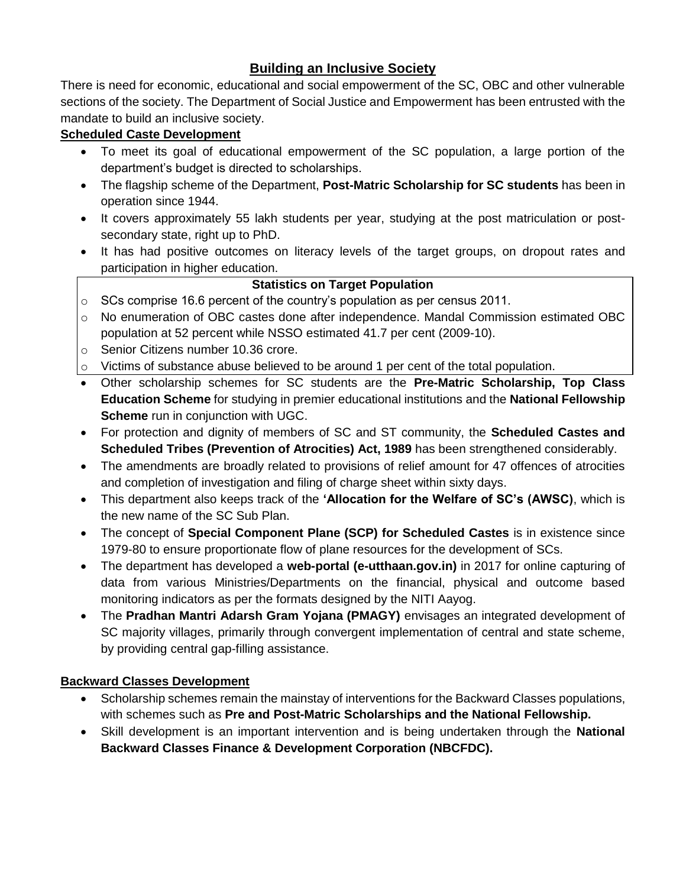# **Building an Inclusive Society**

There is need for economic, educational and social empowerment of the SC, OBC and other vulnerable sections of the society. The Department of Social Justice and Empowerment has been entrusted with the mandate to build an inclusive society.

### **Scheduled Caste Development**

- To meet its goal of educational empowerment of the SC population, a large portion of the department's budget is directed to scholarships.
- The flagship scheme of the Department, **Post-Matric Scholarship for SC students** has been in operation since 1944.
- It covers approximately 55 lakh students per year, studying at the post matriculation or postsecondary state, right up to PhD.
- It has had positive outcomes on literacy levels of the target groups, on dropout rates and participation in higher education.

### **Statistics on Target Population**

- $\circ$  SCs comprise 16.6 percent of the country's population as per census 2011.
- o No enumeration of OBC castes done after independence. Mandal Commission estimated OBC population at 52 percent while NSSO estimated 41.7 per cent (2009-10).
- o Senior Citizens number 10.36 crore.
- $\circ$  Victims of substance abuse believed to be around 1 per cent of the total population.
- Other scholarship schemes for SC students are the **Pre-Matric Scholarship, Top Class Education Scheme** for studying in premier educational institutions and the **National Fellowship Scheme** run in conjunction with UGC.
- For protection and dignity of members of SC and ST community, the **Scheduled Castes and Scheduled Tribes (Prevention of Atrocities) Act, 1989** has been strengthened considerably.
- The amendments are broadly related to provisions of relief amount for 47 offences of atrocities and completion of investigation and filing of charge sheet within sixty days.
- This department also keeps track of the **'Allocation for the Welfare of SC's (AWSC)**, which is the new name of the SC Sub Plan.
- The concept of **Special Component Plane (SCP) for Scheduled Castes** is in existence since 1979-80 to ensure proportionate flow of plane resources for the development of SCs.
- The department has developed a **web-portal (e-utthaan.gov.in)** in 2017 for online capturing of data from various Ministries/Departments on the financial, physical and outcome based monitoring indicators as per the formats designed by the NITI Aayog.
- The **Pradhan Mantri Adarsh Gram Yojana (PMAGY)** envisages an integrated development of SC majority villages, primarily through convergent implementation of central and state scheme, by providing central gap-filling assistance.

### **Backward Classes Development**

- Scholarship schemes remain the mainstay of interventions for the Backward Classes populations, with schemes such as **Pre and Post-Matric Scholarships and the National Fellowship.**
- Skill development is an important intervention and is being undertaken through the **National Backward Classes Finance & Development Corporation (NBCFDC).**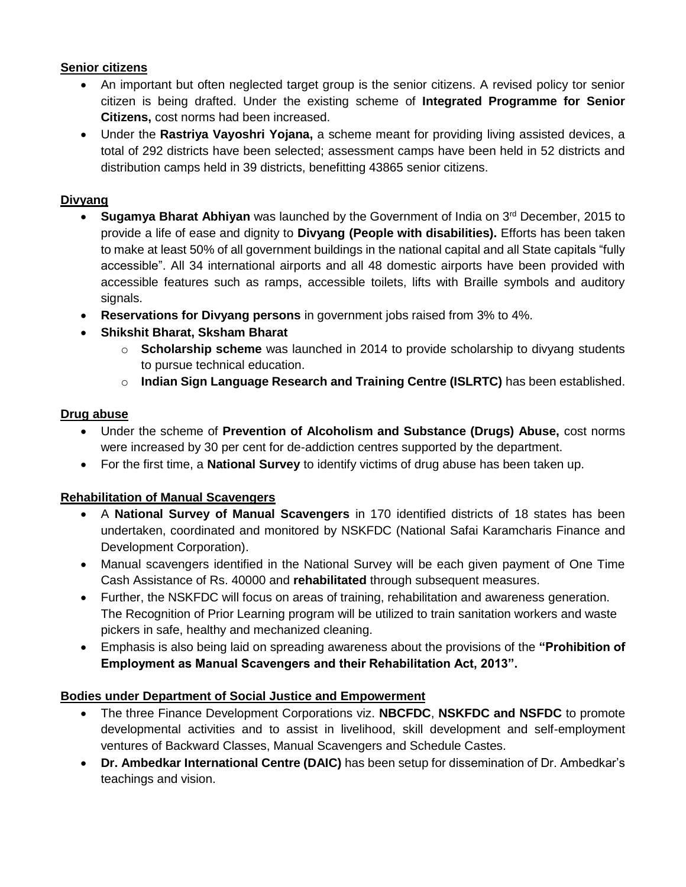### **Senior citizens**

- An important but often neglected target group is the senior citizens. A revised policy tor senior citizen is being drafted. Under the existing scheme of **Integrated Programme for Senior Citizens,** cost norms had been increased.
- Under the **Rastriya Vayoshri Yojana,** a scheme meant for providing living assisted devices, a total of 292 districts have been selected; assessment camps have been held in 52 districts and distribution camps held in 39 districts, benefitting 43865 senior citizens.

#### **Divyang**

- **Sugamya Bharat Abhiyan** was launched by the Government of India on 3rd December, 2015 to provide a life of ease and dignity to **Divyang (People with disabilities).** Efforts has been taken to make at least 50% of all government buildings in the national capital and all State capitals "fully accessible". All 34 international airports and all 48 domestic airports have been provided with accessible features such as ramps, accessible toilets, lifts with Braille symbols and auditory signals.
- **Reservations for Divyang persons** in government jobs raised from 3% to 4%.
- **Shikshit Bharat, Sksham Bharat**
	- o **Scholarship scheme** was launched in 2014 to provide scholarship to divyang students to pursue technical education.
	- o **Indian Sign Language Research and Training Centre (ISLRTC)** has been established.

#### **Drug abuse**

- Under the scheme of **Prevention of Alcoholism and Substance (Drugs) Abuse,** cost norms were increased by 30 per cent for de-addiction centres supported by the department.
- For the first time, a **National Survey** to identify victims of drug abuse has been taken up.

### **Rehabilitation of Manual Scavengers**

- A **National Survey of Manual Scavengers** in 170 identified districts of 18 states has been undertaken, coordinated and monitored by NSKFDC (National Safai Karamcharis Finance and Development Corporation).
- Manual scavengers identified in the National Survey will be each given payment of One Time Cash Assistance of Rs. 40000 and **rehabilitated** through subsequent measures.
- Further, the NSKFDC will focus on areas of training, rehabilitation and awareness generation. The Recognition of Prior Learning program will be utilized to train sanitation workers and waste pickers in safe, healthy and mechanized cleaning.
- Emphasis is also being laid on spreading awareness about the provisions of the **"Prohibition of Employment as Manual Scavengers and their Rehabilitation Act, 2013".**

### **Bodies under Department of Social Justice and Empowerment**

- The three Finance Development Corporations viz. **NBCFDC**, **NSKFDC and NSFDC** to promote developmental activities and to assist in livelihood, skill development and self-employment ventures of Backward Classes, Manual Scavengers and Schedule Castes.
- **Dr. Ambedkar International Centre (DAIC)** has been setup for dissemination of Dr. Ambedkar's teachings and vision.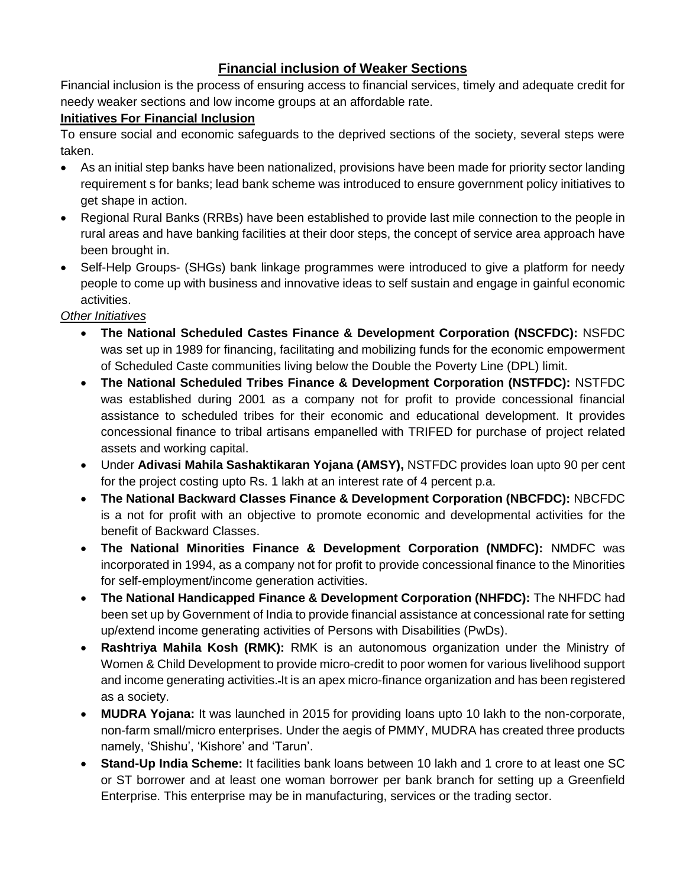# **Financial inclusion of Weaker Sections**

Financial inclusion is the process of ensuring access to financial services, timely and adequate credit for needy weaker sections and low income groups at an affordable rate.

### **Initiatives For Financial Inclusion**

To ensure social and economic safeguards to the deprived sections of the society, several steps were taken.

- As an initial step banks have been nationalized, provisions have been made for priority sector landing requirement s for banks; lead bank scheme was introduced to ensure government policy initiatives to get shape in action.
- Regional Rural Banks (RRBs) have been established to provide last mile connection to the people in rural areas and have banking facilities at their door steps, the concept of service area approach have been brought in.
- Self-Help Groups- (SHGs) bank linkage programmes were introduced to give a platform for needy people to come up with business and innovative ideas to self sustain and engage in gainful economic activities.

### *Other Initiatives*

- **The National Scheduled Castes Finance & Development Corporation (NSCFDC):** NSFDC was set up in 1989 for financing, facilitating and mobilizing funds for the economic empowerment of Scheduled Caste communities living below the Double the Poverty Line (DPL) limit.
- **The National Scheduled Tribes Finance & Development Corporation (NSTFDC):** NSTFDC was established during 2001 as a company not for profit to provide concessional financial assistance to scheduled tribes for their economic and educational development. It provides concessional finance to tribal artisans empanelled with TRIFED for purchase of project related assets and working capital.
- Under **Adivasi Mahila Sashaktikaran Yojana (AMSY),** NSTFDC provides loan upto 90 per cent for the project costing upto Rs. 1 lakh at an interest rate of 4 percent p.a.
- **The National Backward Classes Finance & Development Corporation (NBCFDC):** NBCFDC is a not for profit with an objective to promote economic and developmental activities for the benefit of Backward Classes.
- **The National Minorities Finance & Development Corporation (NMDFC):** NMDFC was incorporated in 1994, as a company not for profit to provide concessional finance to the Minorities for self-employment/income generation activities.
- **The National Handicapped Finance & Development Corporation (NHFDC):** The NHFDC had been set up by Government of India to provide financial assistance at concessional rate for setting up/extend income generating activities of Persons with Disabilities (PwDs).
- **Rashtriya Mahila Kosh (RMK):** RMK is an autonomous organization under the Ministry of Women & Child Development to provide micro-credit to poor women for various livelihood support and income generating activities. It is an apex micro-finance organization and has been registered as a society.
- **MUDRA Yojana:** It was launched in 2015 for providing loans upto 10 lakh to the non-corporate, non-farm small/micro enterprises. Under the aegis of PMMY, MUDRA has created three products namely, 'Shishu', 'Kishore' and 'Tarun'.
- **Stand-Up India Scheme:** It facilities bank loans between 10 lakh and 1 crore to at least one SC or ST borrower and at least one woman borrower per bank branch for setting up a Greenfield Enterprise. This enterprise may be in manufacturing, services or the trading sector.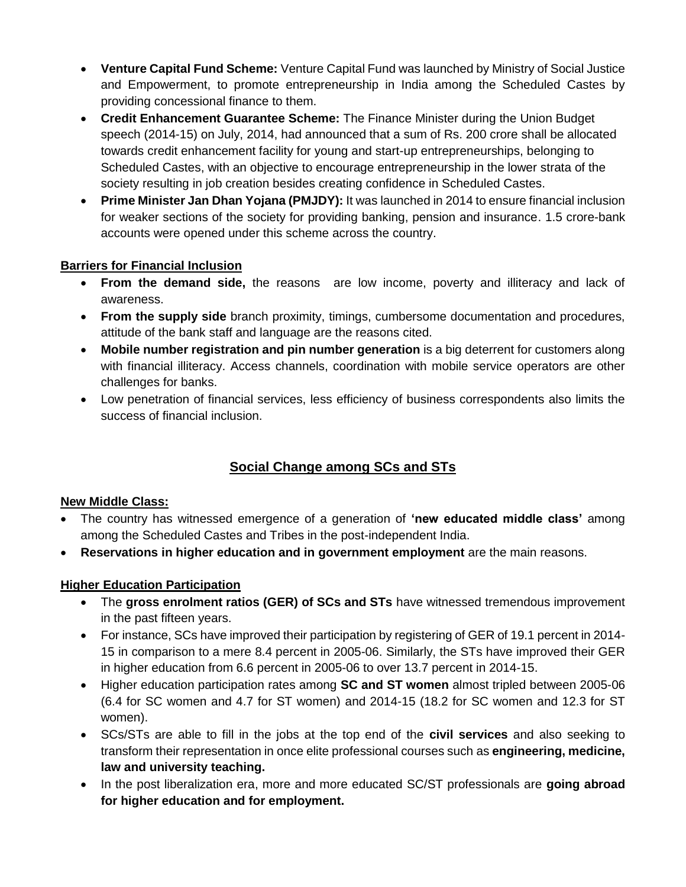- **Venture Capital Fund Scheme:** Venture Capital Fund was launched by Ministry of Social Justice and Empowerment, to promote entrepreneurship in India among the Scheduled Castes by providing concessional finance to them.
- **Credit Enhancement Guarantee Scheme:** The Finance Minister during the Union Budget speech (2014-15) on July, 2014, had announced that a sum of Rs. 200 crore shall be allocated towards credit enhancement facility for young and start-up entrepreneurships, belonging to Scheduled Castes, with an objective to encourage entrepreneurship in the lower strata of the society resulting in job creation besides creating confidence in Scheduled Castes.
- **Prime Minister Jan Dhan Yojana (PMJDY):** It was launched in 2014 to ensure financial inclusion for weaker sections of the society for providing banking, pension and insurance. 1.5 crore-bank accounts were opened under this scheme across the country.

### **Barriers for Financial Inclusion**

- **From the demand side,** the reasons are low income, poverty and illiteracy and lack of awareness.
- **From the supply side** branch proximity, timings, cumbersome documentation and procedures, attitude of the bank staff and language are the reasons cited.
- **Mobile number registration and pin number generation** is a big deterrent for customers along with financial illiteracy. Access channels, coordination with mobile service operators are other challenges for banks.
- Low penetration of financial services, less efficiency of business correspondents also limits the success of financial inclusion.

# **Social Change among SCs and STs**

### **New Middle Class:**

- The country has witnessed emergence of a generation of **'new educated middle class'** among among the Scheduled Castes and Tribes in the post-independent India.
- **Reservations in higher education and in government employment** are the main reasons.

### **Higher Education Participation**

- The **gross enrolment ratios (GER) of SCs and STs** have witnessed tremendous improvement in the past fifteen years.
- For instance, SCs have improved their participation by registering of GER of 19.1 percent in 2014- 15 in comparison to a mere 8.4 percent in 2005-06. Similarly, the STs have improved their GER in higher education from 6.6 percent in 2005-06 to over 13.7 percent in 2014-15.
- Higher education participation rates among **SC and ST women** almost tripled between 2005-06 (6.4 for SC women and 4.7 for ST women) and 2014-15 (18.2 for SC women and 12.3 for ST women).
- SCs/STs are able to fill in the jobs at the top end of the **civil services** and also seeking to transform their representation in once elite professional courses such as **engineering, medicine, law and university teaching.**
- In the post liberalization era, more and more educated SC/ST professionals are **going abroad for higher education and for employment.**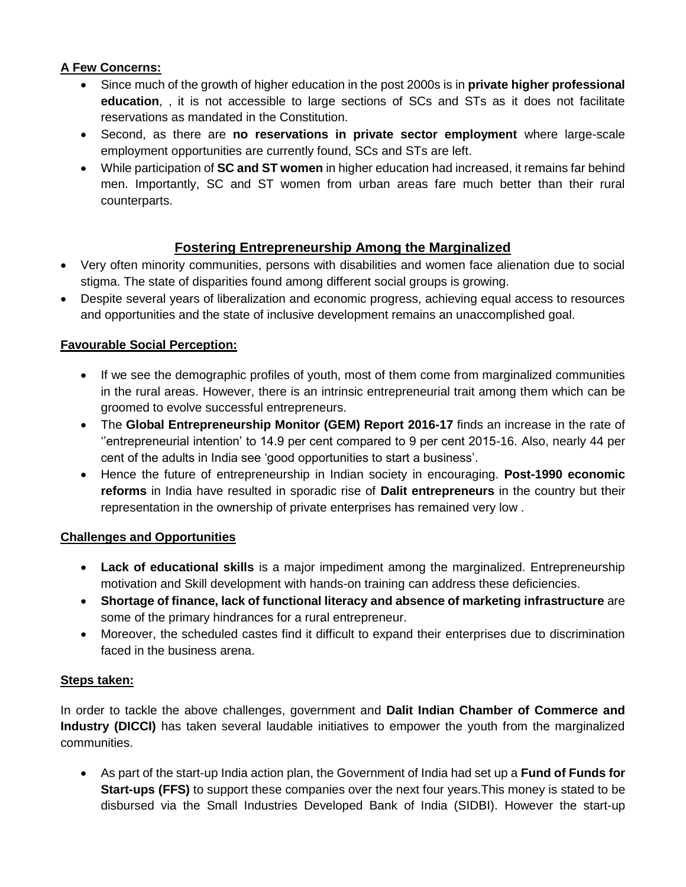### **A Few Concerns:**

- Since much of the growth of higher education in the post 2000s is in **private higher professional education**, , it is not accessible to large sections of SCs and STs as it does not facilitate reservations as mandated in the Constitution.
- Second, as there are **no reservations in private sector employment** where large-scale employment opportunities are currently found, SCs and STs are left.
- While participation of **SC and ST women** in higher education had increased, it remains far behind men. Importantly, SC and ST women from urban areas fare much better than their rural counterparts.

# **Fostering Entrepreneurship Among the Marginalized**

- Very often minority communities, persons with disabilities and women face alienation due to social stigma. The state of disparities found among different social groups is growing.
- Despite several years of liberalization and economic progress, achieving equal access to resources and opportunities and the state of inclusive development remains an unaccomplished goal.

### **Favourable Social Perception:**

- If we see the demographic profiles of youth, most of them come from marginalized communities in the rural areas. However, there is an intrinsic entrepreneurial trait among them which can be groomed to evolve successful entrepreneurs.
- The **Global Entrepreneurship Monitor (GEM) Report 2016-17** finds an increase in the rate of ''entrepreneurial intention' to 14.9 per cent compared to 9 per cent 2015-16. Also, nearly 44 per cent of the adults in India see 'good opportunities to start a business'.
- Hence the future of entrepreneurship in Indian society in encouraging. **Post-1990 economic reforms** in India have resulted in sporadic rise of **Dalit entrepreneurs** in the country but their representation in the ownership of private enterprises has remained very low .

### **Challenges and Opportunities**

- **Lack of educational skills** is a major impediment among the marginalized. Entrepreneurship motivation and Skill development with hands-on training can address these deficiencies.
- **Shortage of finance, lack of functional literacy and absence of marketing infrastructure** are some of the primary hindrances for a rural entrepreneur.
- Moreover, the scheduled castes find it difficult to expand their enterprises due to discrimination faced in the business arena.

### **Steps taken:**

In order to tackle the above challenges, government and **Dalit Indian Chamber of Commerce and Industry (DICCI)** has taken several laudable initiatives to empower the youth from the marginalized communities.

• As part of the start-up India action plan, the Government of India had set up a **Fund of Funds for Start-ups (FFS)** to support these companies over the next four years.This money is stated to be disbursed via the Small Industries Developed Bank of India (SIDBI). However the start-up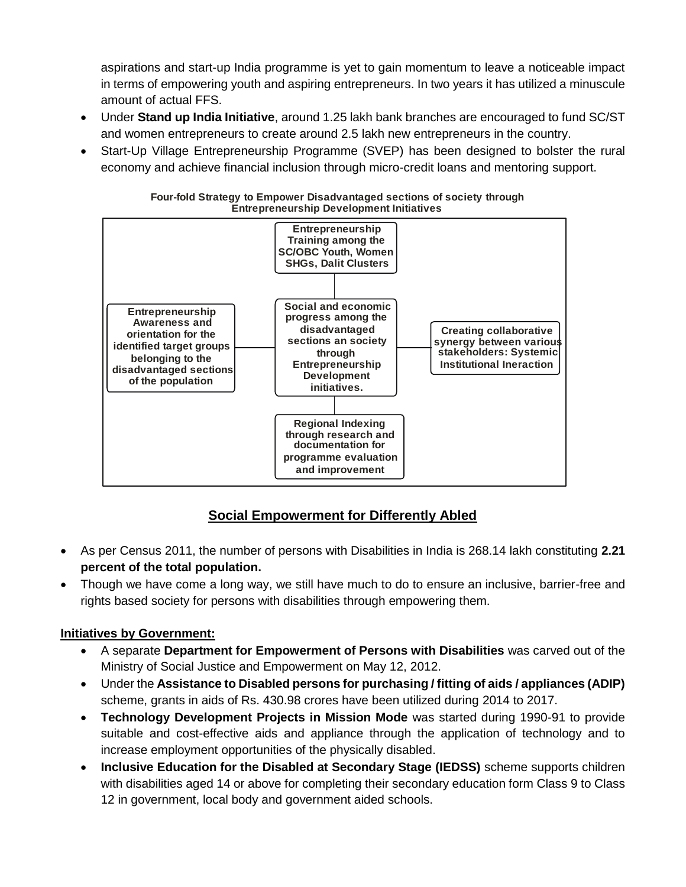aspirations and start-up India programme is yet to gain momentum to leave a noticeable impact in terms of empowering youth and aspiring entrepreneurs. In two years it has utilized a minuscule amount of actual FFS.

- Under **Stand up India Initiative**, around 1.25 lakh bank branches are encouraged to fund SC/ST and women entrepreneurs to create around 2.5 lakh new entrepreneurs in the country.
- Start-Up Village Entrepreneurship Programme (SVEP) has been designed to bolster the rural economy and achieve financial inclusion through micro-credit loans and mentoring support.



**Four-fold Strategy to Empower Disadvantaged sections of society through Entrepreneurship Development Initiatives**

# **Social Empowerment for Differently Abled**

- As per Census 2011, the number of persons with Disabilities in India is 268.14 lakh constituting **2.21 percent of the total population.**
- Though we have come a long way, we still have much to do to ensure an inclusive, barrier-free and rights based society for persons with disabilities through empowering them.

# **Initiatives by Government:**

- A separate **Department for Empowerment of Persons with Disabilities** was carved out of the Ministry of Social Justice and Empowerment on May 12, 2012.
- Under the **Assistance to Disabled persons for purchasing / fitting of aids / appliances (ADIP)** scheme, grants in aids of Rs. 430.98 crores have been utilized during 2014 to 2017.
- **Technology Development Projects in Mission Mode** was started during 1990-91 to provide suitable and cost-effective aids and appliance through the application of technology and to increase employment opportunities of the physically disabled.
- **Inclusive Education for the Disabled at Secondary Stage (IEDSS)** scheme supports children with disabilities aged 14 or above for completing their secondary education form Class 9 to Class 12 in government, local body and government aided schools.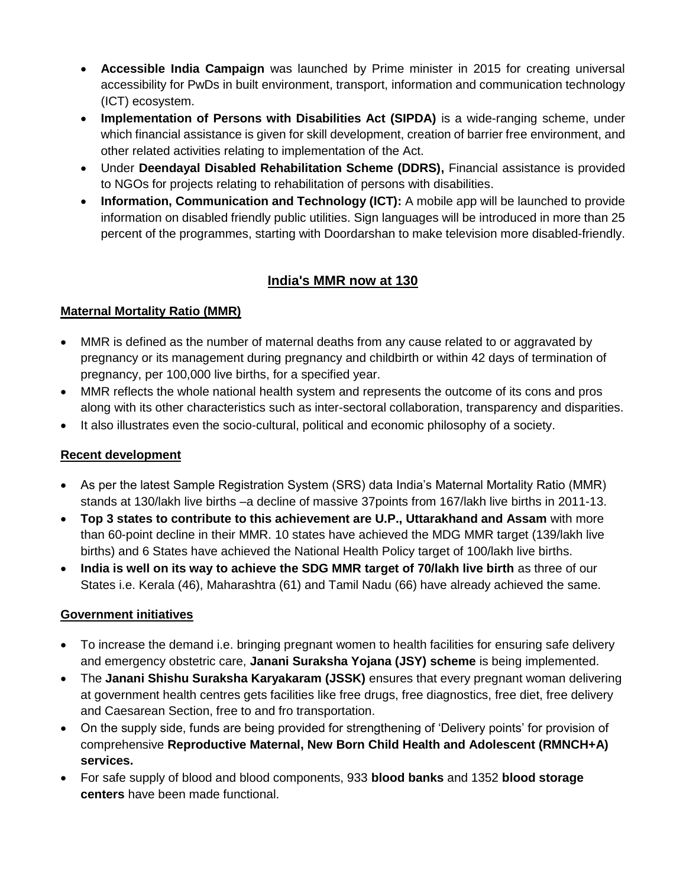- **Accessible India Campaign** was launched by Prime minister in 2015 for creating universal accessibility for PwDs in built environment, transport, information and communication technology (ICT) ecosystem.
- **Implementation of Persons with Disabilities Act (SIPDA)** is a wide-ranging scheme, under which financial assistance is given for skill development, creation of barrier free environment, and other related activities relating to implementation of the Act.
- Under **Deendayal Disabled Rehabilitation Scheme (DDRS),** Financial assistance is provided to NGOs for projects relating to rehabilitation of persons with disabilities.
- **Information, Communication and Technology (ICT):** A mobile app will be launched to provide information on disabled friendly public utilities. Sign languages will be introduced in more than 25 percent of the programmes, starting with Doordarshan to make television more disabled-friendly.

# **India's MMR now at 130**

### **Maternal Mortality Ratio (MMR)**

- MMR is defined as the number of maternal deaths from any cause related to or aggravated by pregnancy or its management during pregnancy and childbirth or within 42 days of termination of pregnancy, per 100,000 live births, for a specified year.
- MMR reflects the whole national health system and represents the outcome of its cons and pros along with its other characteristics such as inter-sectoral collaboration, transparency and disparities.
- It also illustrates even the socio-cultural, political and economic philosophy of a society.

### **Recent development**

- As per the latest Sample Registration System (SRS) data India's Maternal Mortality Ratio (MMR) stands at 130/lakh live births –a decline of massive 37points from 167/lakh live births in 2011-13.
- **Top 3 states to contribute to this achievement are U.P., Uttarakhand and Assam** with more than 60-point decline in their MMR. 10 states have achieved the MDG MMR target (139/lakh live births) and 6 States have achieved the National Health Policy target of 100/lakh live births.
- **India is well on its way to achieve the SDG MMR target of 70/lakh live birth** as three of our States i.e. Kerala (46), Maharashtra (61) and Tamil Nadu (66) have already achieved the same.

### **Government initiatives**

- To increase the demand i.e. bringing pregnant women to health facilities for ensuring safe delivery and emergency obstetric care, **Janani Suraksha Yojana (JSY) scheme** is being implemented.
- The **Janani Shishu Suraksha Karyakaram (JSSK)** ensures that every pregnant woman delivering at government health centres gets facilities like free drugs, free diagnostics, free diet, free delivery and Caesarean Section, free to and fro transportation.
- On the supply side, funds are being provided for strengthening of 'Delivery points' for provision of comprehensive **Reproductive Maternal, New Born Child Health and Adolescent (RMNCH+A) services.**
- For safe supply of blood and blood components, 933 **blood banks** and 1352 **blood storage centers** have been made functional.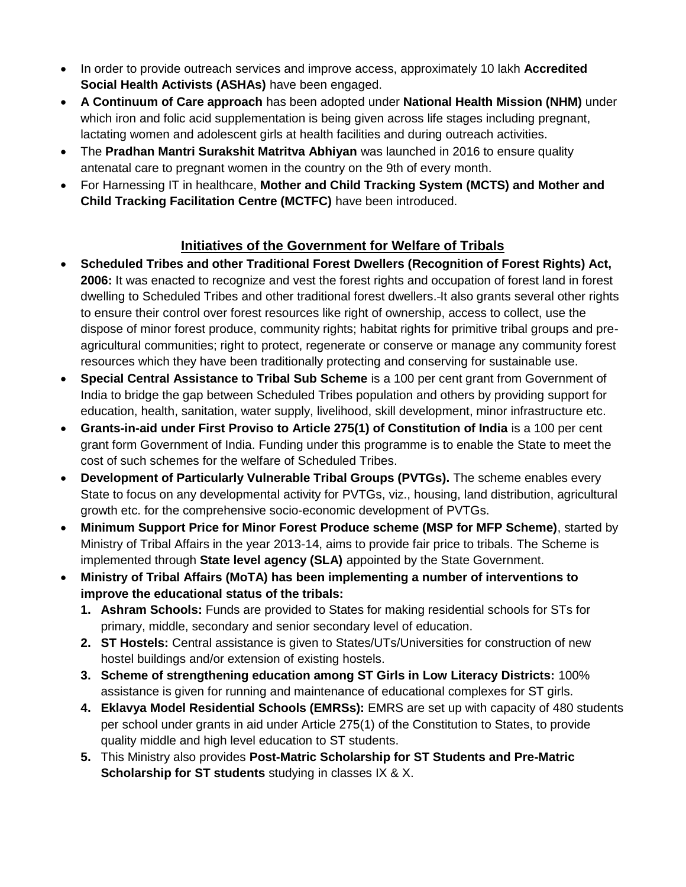- In order to provide outreach services and improve access, approximately 10 lakh **Accredited Social Health Activists (ASHAs)** have been engaged.
- **A Continuum of Care approach** has been adopted under **National Health Mission (NHM)** under which iron and folic acid supplementation is being given across life stages including pregnant, lactating women and adolescent girls at health facilities and during outreach activities.
- The **Pradhan Mantri Surakshit Matritva Abhiyan** was launched in 2016 to ensure quality antenatal care to pregnant women in the country on the 9th of every month.
- For Harnessing IT in healthcare, **Mother and Child Tracking System (MCTS) and Mother and Child Tracking Facilitation Centre (MCTFC)** have been introduced.

# **Initiatives of the Government for Welfare of Tribals**

- **Scheduled Tribes and other Traditional Forest Dwellers (Recognition of Forest Rights) Act, 2006:** It was enacted to recognize and vest the forest rights and occupation of forest land in forest dwelling to Scheduled Tribes and other traditional forest dwellers. It also grants several other rights to ensure their control over forest resources like right of ownership, access to collect, use the dispose of minor forest produce, community rights; habitat rights for primitive tribal groups and preagricultural communities; right to protect, regenerate or conserve or manage any community forest resources which they have been traditionally protecting and conserving for sustainable use.
- **Special Central Assistance to Tribal Sub Scheme** is a 100 per cent grant from Government of India to bridge the gap between Scheduled Tribes population and others by providing support for education, health, sanitation, water supply, livelihood, skill development, minor infrastructure etc.
- **Grants-in-aid under First Proviso to Article 275(1) of Constitution of India** is a 100 per cent grant form Government of India. Funding under this programme is to enable the State to meet the cost of such schemes for the welfare of Scheduled Tribes.
- **Development of Particularly Vulnerable Tribal Groups (PVTGs).** The scheme enables every State to focus on any developmental activity for PVTGs, viz., housing, land distribution, agricultural growth etc. for the comprehensive socio-economic development of PVTGs.
- **Minimum Support Price for Minor Forest Produce scheme (MSP for MFP Scheme)**, started by Ministry of Tribal Affairs in the year 2013-14, aims to provide fair price to tribals. The Scheme is implemented through **State level agency (SLA)** appointed by the State Government.
- **Ministry of Tribal Affairs (MoTA) has been implementing a number of interventions to improve the educational status of the tribals:**
	- **1. Ashram Schools:** Funds are provided to States for making residential schools for STs for primary, middle, secondary and senior secondary level of education.
	- **2. ST Hostels:** Central assistance is given to States/UTs/Universities for construction of new hostel buildings and/or extension of existing hostels.
	- **3. Scheme of strengthening education among ST Girls in Low Literacy Districts:** 100% assistance is given for running and maintenance of educational complexes for ST girls.
	- **4. Eklavya Model Residential Schools (EMRSs):** EMRS are set up with capacity of 480 students per school under grants in aid under Article 275(1) of the Constitution to States, to provide quality middle and high level education to ST students.
	- **5.** This Ministry also provides **Post-Matric Scholarship for ST Students and Pre-Matric Scholarship for ST students** studying in classes IX & X.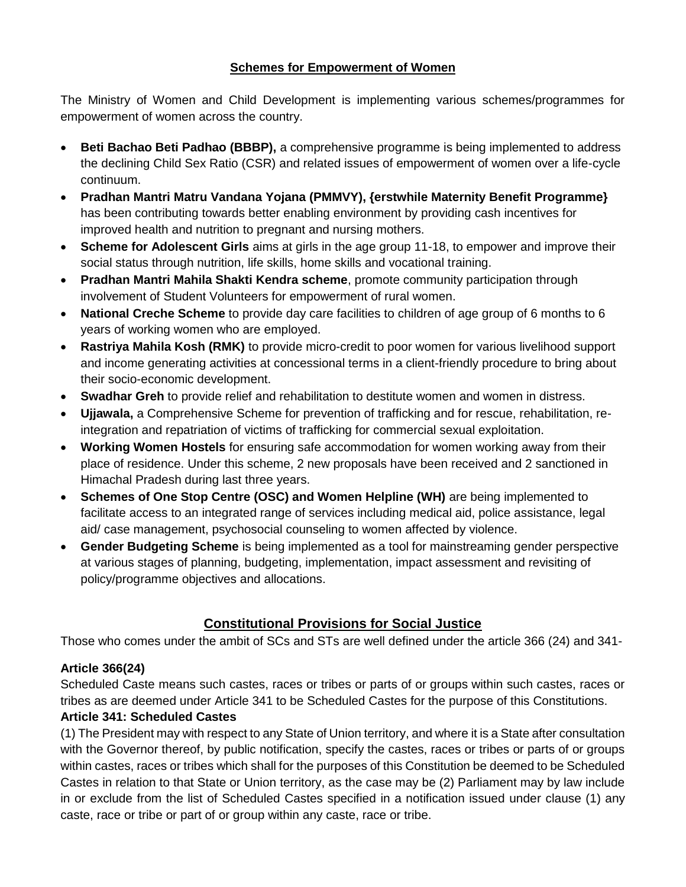### **Schemes for Empowerment of Women**

The Ministry of Women and Child Development is implementing various schemes/programmes for empowerment of women across the country.

- **Beti Bachao Beti Padhao (BBBP),** a comprehensive programme is being implemented to address the declining Child Sex Ratio (CSR) and related issues of empowerment of women over a life-cycle continuum.
- **Pradhan Mantri Matru Vandana Yojana (PMMVY), {erstwhile Maternity Benefit Programme}** has been contributing towards better enabling environment by providing cash incentives for improved health and nutrition to pregnant and nursing mothers.
- **Scheme for Adolescent Girls** aims at girls in the age group 11-18, to empower and improve their social status through nutrition, life skills, home skills and vocational training.
- **Pradhan Mantri Mahila Shakti Kendra scheme**, promote community participation through involvement of Student Volunteers for empowerment of rural women.
- **National Creche Scheme** to provide day care facilities to children of age group of 6 months to 6 years of working women who are employed.
- **Rastriya Mahila Kosh (RMK)** to provide micro-credit to poor women for various livelihood support and income generating activities at concessional terms in a client-friendly procedure to bring about their socio-economic development.
- **Swadhar Greh** to provide relief and rehabilitation to destitute women and women in distress.
- **Ujjawala,** a Comprehensive Scheme for prevention of trafficking and for rescue, rehabilitation, reintegration and repatriation of victims of trafficking for commercial sexual exploitation.
- **Working Women Hostels** for ensuring safe accommodation for women working away from their place of residence. Under this scheme, 2 new proposals have been received and 2 sanctioned in Himachal Pradesh during last three years.
- **Schemes of One Stop Centre (OSC) and Women Helpline (WH)** are being implemented to facilitate access to an integrated range of services including medical aid, police assistance, legal aid/ case management, psychosocial counseling to women affected by violence.
- **Gender Budgeting Scheme** is being implemented as a tool for mainstreaming gender perspective at various stages of planning, budgeting, implementation, impact assessment and revisiting of policy/programme objectives and allocations.

# **Constitutional Provisions for Social Justice**

Those who comes under the ambit of SCs and STs are well defined under the article 366 (24) and 341-

# **Article 366(24)**

Scheduled Caste means such castes, races or tribes or parts of or groups within such castes, races or tribes as are deemed under Article 341 to be Scheduled Castes for the purpose of this Constitutions.

# **Article 341: Scheduled Castes**

(1) The President may with respect to any State of Union territory, and where it is a State after consultation with the Governor thereof, by public notification, specify the castes, races or tribes or parts of or groups within castes, races or tribes which shall for the purposes of this Constitution be deemed to be Scheduled Castes in relation to that State or Union territory, as the case may be (2) Parliament may by law include in or exclude from the list of Scheduled Castes specified in a notification issued under clause (1) any caste, race or tribe or part of or group within any caste, race or tribe.